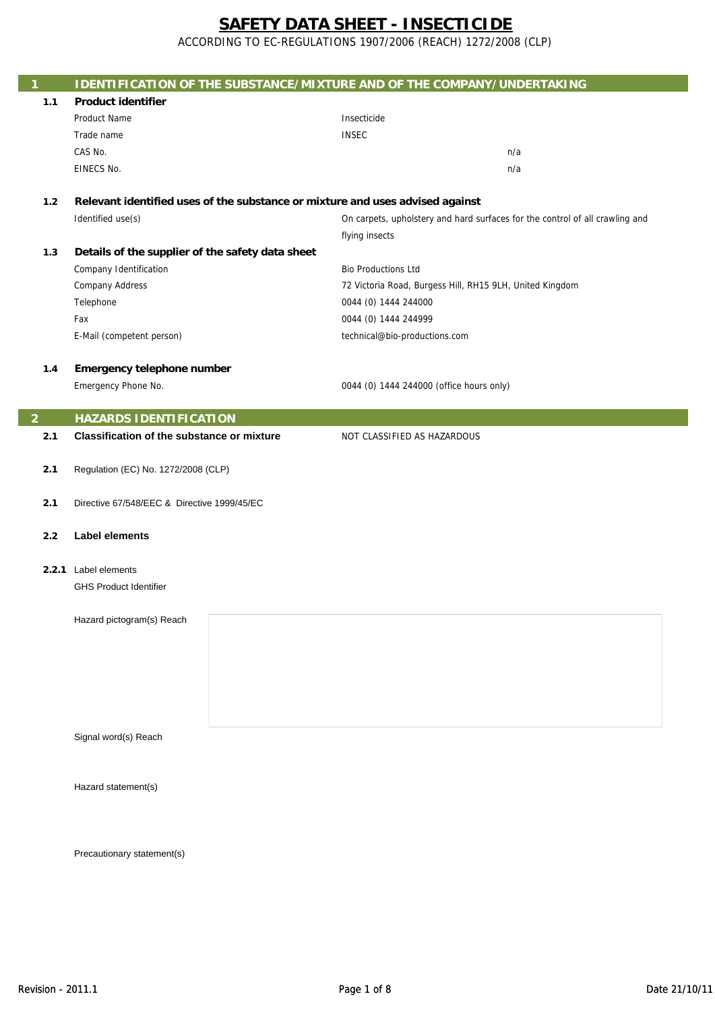ACCORDING TO EC-REGULATIONS 1907/2006 (REACH) 1272/2008 (CLP)

| $\mathbf{1}$   | <b>IDENTIFICATION OF THE SUBSTANCE/MIXTURE AND OF THE COMPANY/UNDERTAKING</b> |                                                                              |
|----------------|-------------------------------------------------------------------------------|------------------------------------------------------------------------------|
| 1.1            | <b>Product identifier</b>                                                     |                                                                              |
|                | Product Name                                                                  | Insecticide                                                                  |
|                | Trade name                                                                    | <b>INSEC</b>                                                                 |
|                | CAS No.                                                                       | n/a                                                                          |
|                | EINECS No.                                                                    | n/a                                                                          |
|                |                                                                               |                                                                              |
| 1.2            | Relevant identified uses of the substance or mixture and uses advised against |                                                                              |
|                | Identified use(s)                                                             | On carpets, upholstery and hard surfaces for the control of all crawling and |
|                |                                                                               | flying insects                                                               |
| 1.3            | Details of the supplier of the safety data sheet                              |                                                                              |
|                | Company Identification                                                        | <b>Bio Productions Ltd</b>                                                   |
|                | <b>Company Address</b>                                                        | 72 Victoria Road, Burgess Hill, RH15 9LH, United Kingdom                     |
|                | Telephone                                                                     | 0044 (0) 1444 244000                                                         |
|                | Fax                                                                           | 0044 (0) 1444 244999                                                         |
|                | E-Mail (competent person)                                                     | technical@bio-productions.com                                                |
|                |                                                                               |                                                                              |
| 1.4            | Emergency telephone number                                                    |                                                                              |
|                | Emergency Phone No.                                                           | 0044 (0) 1444 244000 (office hours only)                                     |
|                |                                                                               |                                                                              |
| $\overline{2}$ | <b>HAZARDS IDENTIFICATION</b>                                                 |                                                                              |
| 2.1            | <b>Classification of the substance or mixture</b>                             | NOT CLASSIFIED AS HAZARDOUS                                                  |
|                |                                                                               |                                                                              |
| 2.1            | Regulation (EC) No. 1272/2008 (CLP)                                           |                                                                              |
| 2.1            | Directive 67/548/EEC & Directive 1999/45/EC                                   |                                                                              |
|                |                                                                               |                                                                              |
| 2.2            | <b>Label elements</b>                                                         |                                                                              |
|                |                                                                               |                                                                              |
|                | 2.2.1 Label elements                                                          |                                                                              |
|                | <b>GHS Product Identifier</b>                                                 |                                                                              |
|                |                                                                               |                                                                              |
|                | Hazard pictogram(s) Reach                                                     |                                                                              |
|                |                                                                               |                                                                              |
|                |                                                                               |                                                                              |
|                |                                                                               |                                                                              |
|                |                                                                               |                                                                              |
|                |                                                                               |                                                                              |
|                |                                                                               |                                                                              |
|                | Signal word(s) Reach                                                          |                                                                              |
|                |                                                                               |                                                                              |
|                |                                                                               |                                                                              |
|                | Hazard statement(s)                                                           |                                                                              |
|                |                                                                               |                                                                              |
|                |                                                                               |                                                                              |
|                |                                                                               |                                                                              |
|                | Precautionary statement(s)                                                    |                                                                              |
|                |                                                                               |                                                                              |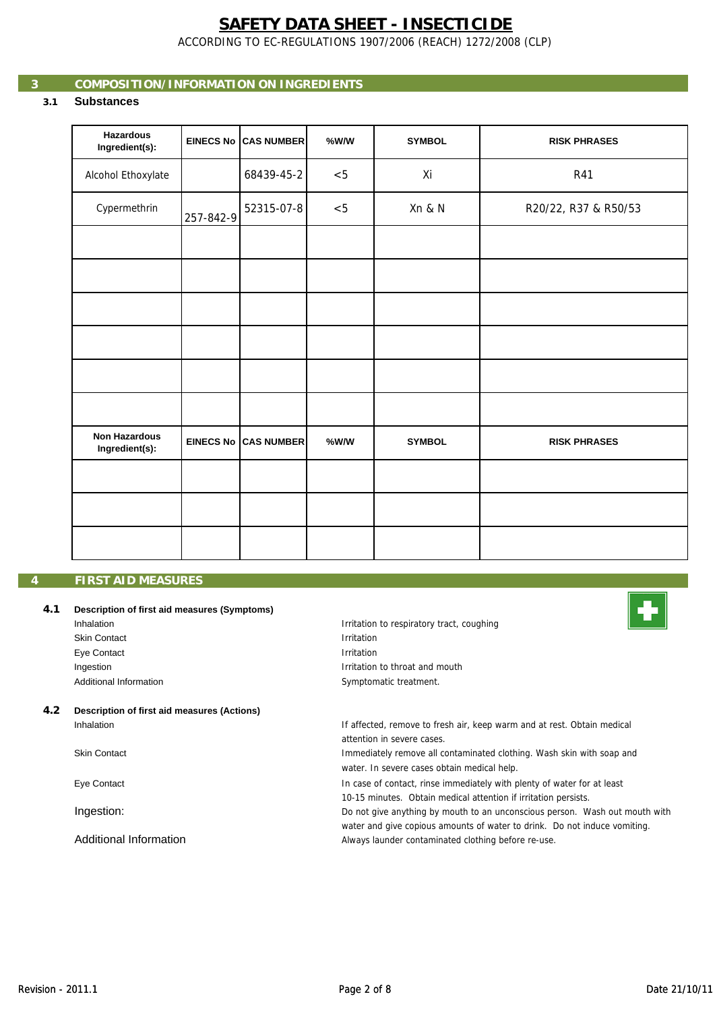ACCORDING TO EC-REGULATIONS 1907/2006 (REACH) 1272/2008 (CLP)

# **3 COMPOSITION/INFORMATION ON INGREDIENTS**

# **3.1 Substances**

| <b>Hazardous</b><br>Ingredient(s):     |           | EINECS No CAS NUMBER        | %W/W  | <b>SYMBOL</b> | <b>RISK PHRASES</b>  |
|----------------------------------------|-----------|-----------------------------|-------|---------------|----------------------|
| Alcohol Ethoxylate                     |           | 68439-45-2                  | $< 5$ | Xi            | R41                  |
| Cypermethrin                           | 257-842-9 | 52315-07-8                  | < 5   | Xn & N        | R20/22, R37 & R50/53 |
|                                        |           |                             |       |               |                      |
|                                        |           |                             |       |               |                      |
|                                        |           |                             |       |               |                      |
|                                        |           |                             |       |               |                      |
|                                        |           |                             |       |               |                      |
|                                        |           |                             |       |               |                      |
| <b>Non Hazardous</b><br>Ingredient(s): |           | <b>EINECS No CAS NUMBER</b> | %W/W  | <b>SYMBOL</b> | <b>RISK PHRASES</b>  |
|                                        |           |                             |       |               |                      |
|                                        |           |                             |       |               |                      |
|                                        |           |                             |       |               |                      |

## **4 FIRST AID MEASURES**

### **4.1 Description of first aid measures (Symptoms)**

| Inhalation             |
|------------------------|
| <b>Skin Contact</b>    |
| Eye Contact            |
| Ingestion              |
| Additional Information |
|                        |

#### **4.2 Description of first aid measures (Actions)** Inhalation

Skin Contact

Eye Contact

Ingestion:

Additional Information

Irritation to respiratory tract, coughing Irritation Symptomatic treatment. Irritation Irritation to throat and mouth



If affected, remove to fresh air, keep warm and at rest. Obtain medical attention in severe cases.

water. In severe cases obtain medical help. Immediately remove all contaminated clothing. Wash skin with soap and

In case of contact, rinse immediately with plenty of water for at least 10-15 minutes. Obtain medical attention if irritation persists.

Do not give anything by mouth to an unconscious person. Wash out mouth with water and give copious amounts of water to drink. Do not induce vomiting. Always launder contaminated clothing before re-use.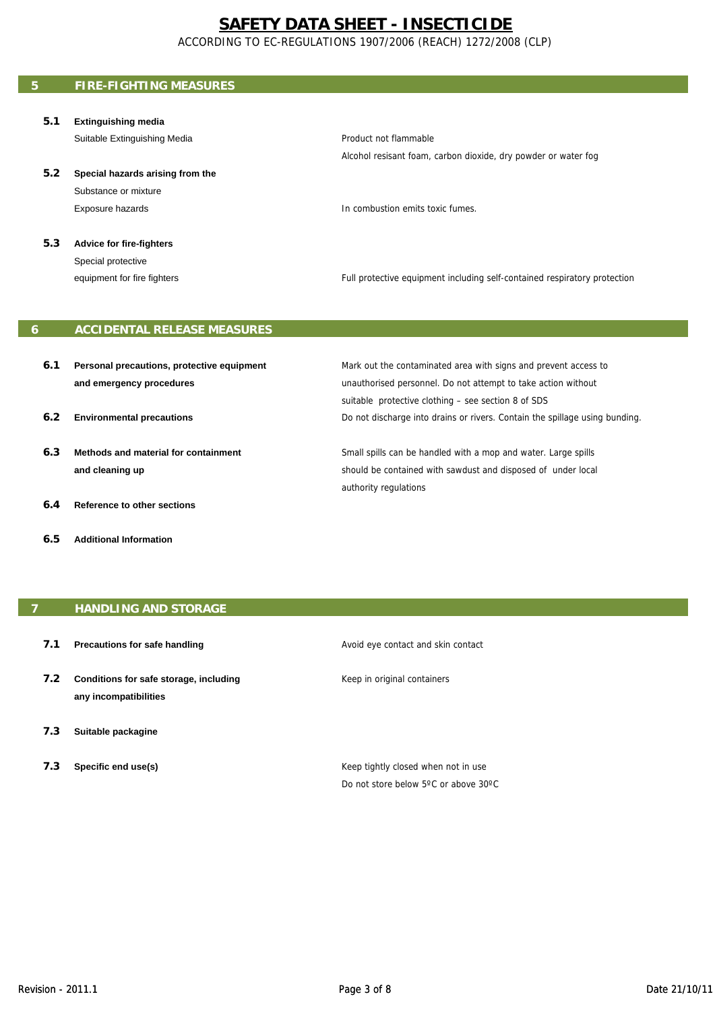ACCORDING TO EC-REGULATIONS 1907/2006 (REACH) 1272/2008 (CLP)

# **5 FIRE-FIGHTING MEASURES**

**5.1 Extinguishing media**

Suitable Extinguishing Media

**5.2 Special hazards arising from the**  Substance or mixture Exposure hazards

Product not flammable Alcohol resisant foam, carbon dioxide, dry powder or water fog

In combustion emits toxic fumes.

**5.3 Advice for fire-fighters** Special protective equipment for fire fighters

Full protective equipment including self-contained respiratory protection

# **6 ACCIDENTAL RELEASE MEASURES**

- **6.1 Personal precautions, protective equipment and emergency procedures**
- **6.2 Environmental precautions**
- **6.3 Methods and material for containment and cleaning up**
- **6.4 Reference to other sections**
- **6.5 Additional Information**

suitable protective clothing – see section 8 of SDS Do not discharge into drains or rivers. Contain the spillage using bunding. Mark out the contaminated area with signs and prevent access to unauthorised personnel. Do not attempt to take action without

Small spills can be handled with a mop and water. Large spills should be contained with sawdust and disposed of under local authority regulations

## **7 HANDLING AND STORAGE**

- **7.1 Precautions for safe handling**
- **7.2 Conditions for safe storage, including any incompatibilities**
- **7.3 Suitable packagine**
- **7.3 Specific end use(s)**

Avoid eye contact and skin contact

Keep in original containers

Keep tightly closed when not in use Do not store below 5ºC or above 30ºC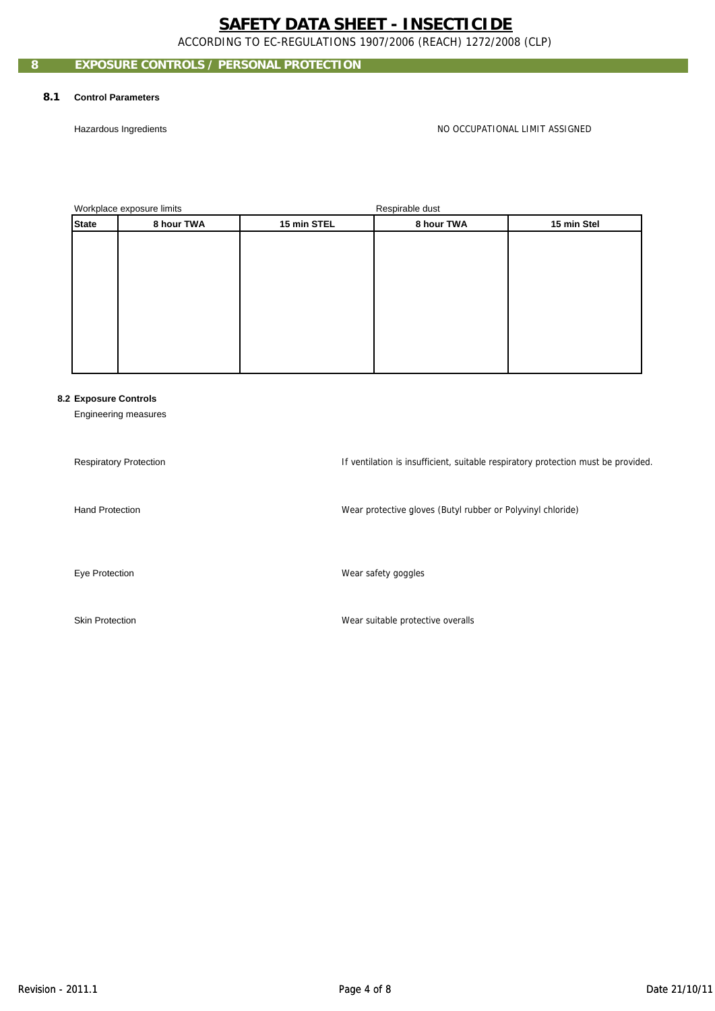ACCORDING TO EC-REGULATIONS 1907/2006 (REACH) 1272/2008 (CLP)

# **EXPOSURE CONTROLS / PERSONAL PROTECTION**

#### **8.1 Control Parameters**

Hazardous Ingredients

NO OCCUPATIONAL LIMIT ASSIGNED

Workplace exposure limits and the set of the second property of the Respirable dust

|              | <b>Tromplace expects immediately</b> |             | <b>Trophano</b> agor |             |
|--------------|--------------------------------------|-------------|----------------------|-------------|
| <b>State</b> | 8 hour TWA                           | 15 min STEL | 8 hour TWA           | 15 min Stel |
|              |                                      |             |                      |             |
|              |                                      |             |                      |             |
|              |                                      |             |                      |             |
|              |                                      |             |                      |             |
|              |                                      |             |                      |             |
|              |                                      |             |                      |             |
|              |                                      |             |                      |             |
|              |                                      |             |                      |             |
|              |                                      |             |                      |             |
|              |                                      |             |                      |             |

### **8.2 Exposure Controls**

Engineering measures

Respiratory Protection Hand Protection If ventilation is insufficient, suitable respiratory protection must be provided. Wear protective gloves (Butyl rubber or Polyvinyl chloride)<br>Wear safety goggles

Eye Protection

Skin Protection

Wear suitable protective overalls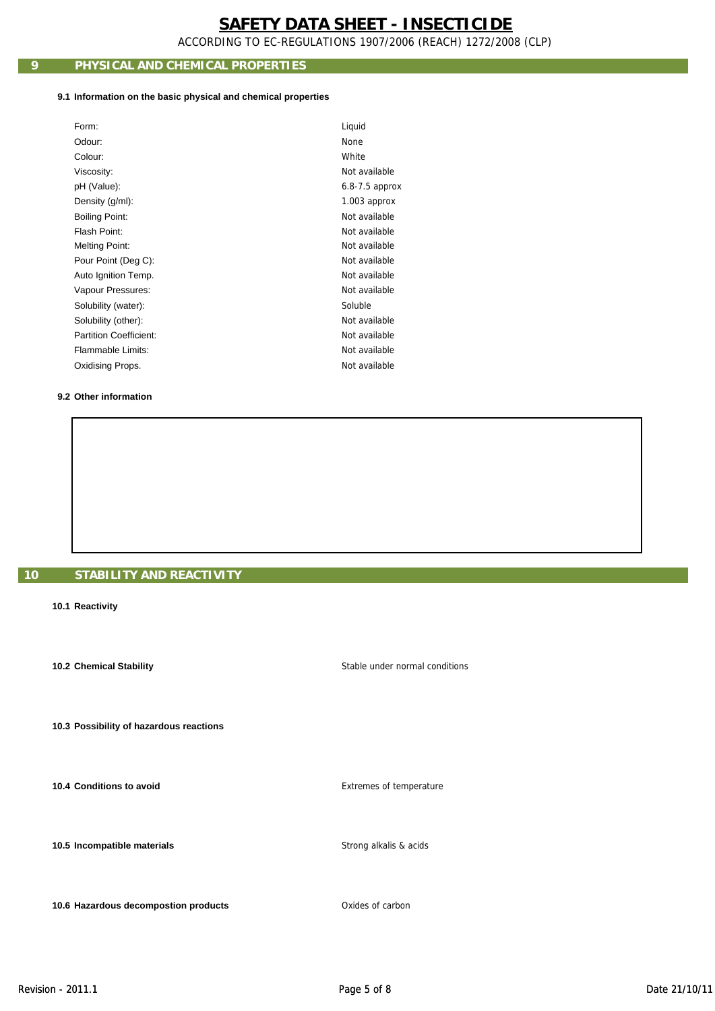ACCORDING TO EC-REGULATIONS 1907/2006 (REACH) 1272/2008 (CLP)

# **9 PHYSICAL AND CHEMICAL PROPERTIES**

#### **9.1 Information on the basic physical and chemical properties**

| <b>None</b><br>Odour:<br>White<br>Colour:<br>Not available<br>Viscosity:<br>pH (Value):<br>$6.8 - 7.5$ approx |  |
|---------------------------------------------------------------------------------------------------------------|--|
|                                                                                                               |  |
|                                                                                                               |  |
|                                                                                                               |  |
|                                                                                                               |  |
| Density (g/ml):<br>$1.003$ approx                                                                             |  |
| Not available<br><b>Boiling Point:</b>                                                                        |  |
| Flash Point:<br>Not available                                                                                 |  |
| Not available<br><b>Melting Point:</b>                                                                        |  |
| Not available<br>Pour Point (Deg C):                                                                          |  |
| Not available<br>Auto Ignition Temp.                                                                          |  |
| Not available<br>Vapour Pressures:                                                                            |  |
| Soluble<br>Solubility (water):                                                                                |  |
| Not available<br>Solubility (other):                                                                          |  |
| Partition Coefficient:<br>Not available                                                                       |  |
| Flammable Limits:<br>Not available                                                                            |  |
| Not available<br>Oxidising Props.                                                                             |  |

## **9.2 Other information**

## **10 STABILITY AND REACTIVITY**

**10.1 Reactivity**

 **10.2 Chemical Stability**

 **10.3 Possibility of hazardous reactions**

 **10.4 Conditions to avoid**

 **10.5 Incompatible materials**

 **10.6 Hazardous decompostion products 10.6 Hazardous decompostion products Oxides of carbon** 

Extremes of temperature

Stable under normal conditions

Strong alkalis & acids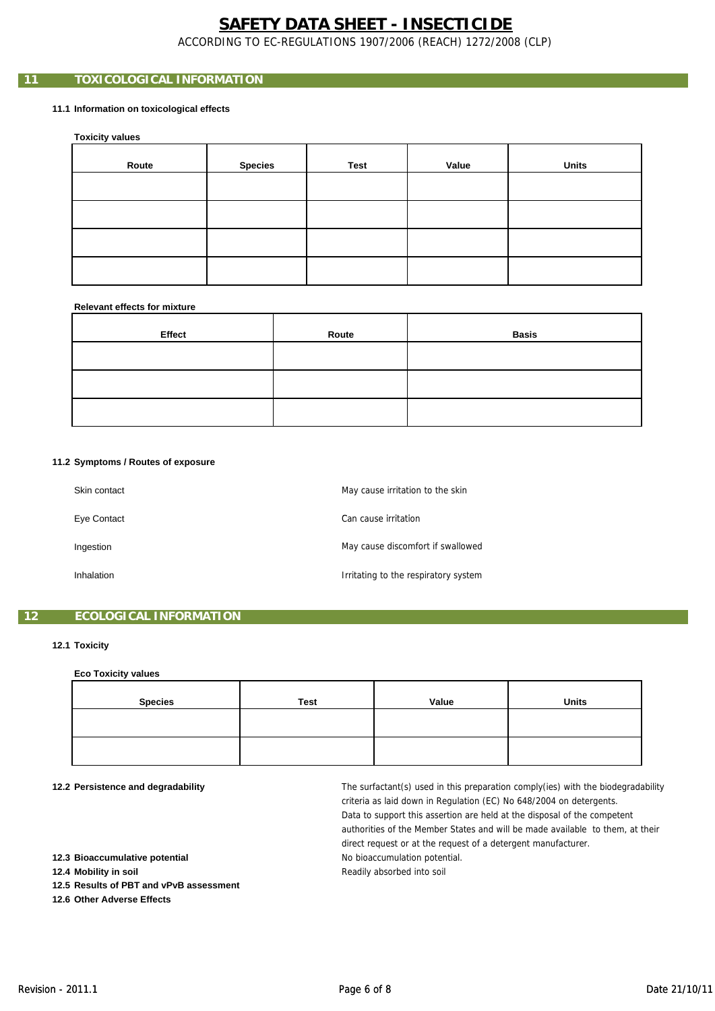ACCORDING TO EC-REGULATIONS 1907/2006 (REACH) 1272/2008 (CLP)

# **11 TOXICOLOGICAL INFORMATION**

### **11.1 Information on toxicological effects**

 **Toxicity values**

| Route | <b>Species</b> | Test | Value | <b>Units</b> |
|-------|----------------|------|-------|--------------|
|       |                |      |       |              |
|       |                |      |       |              |
|       |                |      |       |              |
|       |                |      |       |              |

#### **Relevant effects for mixture**

| Effect | Route | <b>Basis</b> |
|--------|-------|--------------|
|        |       |              |
|        |       |              |
|        |       |              |

## **11.2 Symptoms / Routes of exposure**

| Skin contact | May cause irritation to the skin     |
|--------------|--------------------------------------|
| Eye Contact  | Can cause irritation                 |
| Ingestion    | May cause discomfort if swallowed    |
| Inhalation   | Irritating to the respiratory system |

## **12 ECOLOGICAL INFORMATION**

#### **12.1 Toxicity**

#### **Eco Toxicity values**

| <b>Species</b> | <b>Test</b> | Value | <b>Units</b> |
|----------------|-------------|-------|--------------|
|                |             |       |              |
|                |             |       |              |
|                |             |       |              |
|                |             |       |              |
|                |             |       |              |
|                |             |       |              |

#### **12.2 Persistence and degradability**

No bioaccumulation potential. direct request or at the request of a detergent manufacturer. The surfactant(s) used in this preparation comply(ies) with the biodegradability criteria as laid down in Regulation (EC) No 648/2004 on detergents. Data to support this assertion are held at the disposal of the competent authorities of the Member States and will be made available to them, at their Readily absorbed into soil

 **12.3 Bioaccumulative potential**

 **12.4 Mobility in soil**

 **12.5 Results of PBT and vPvB assessment**

 **12.6 Other Adverse Effects**

Revision - 2011.1 2001.1 2011.1 2012 21/10/11 2012 21/10/11 2012 21/10/11 2012 21/10/11 2012 21/10/11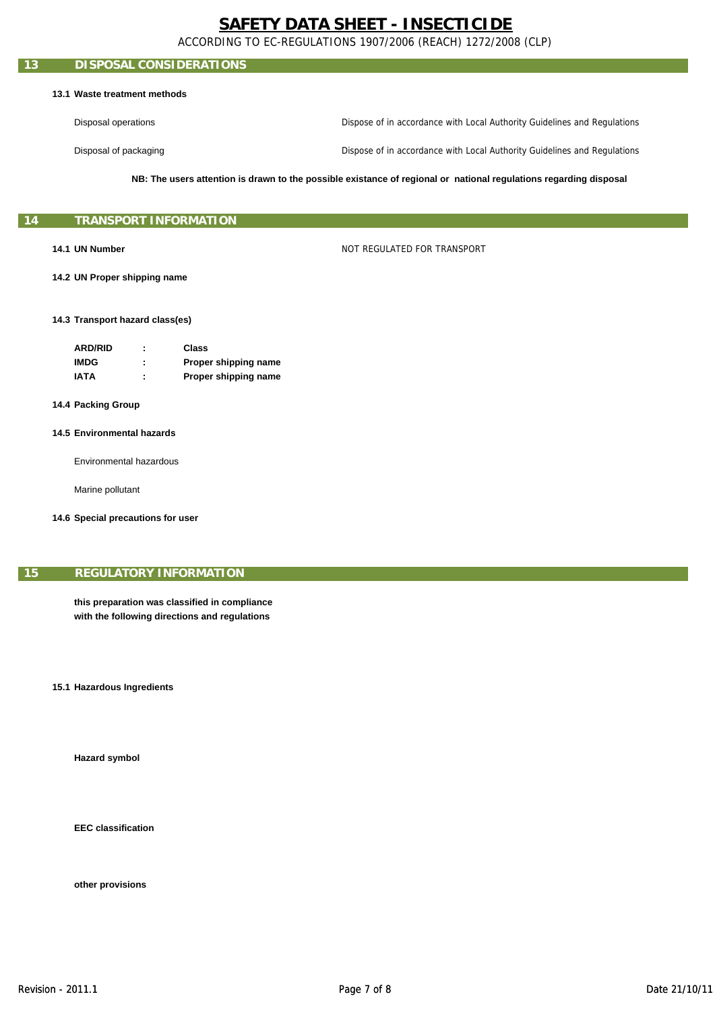ACCORDING TO EC-REGULATIONS 1907/2006 (REACH) 1272/2008 (CLP)

## **13 DISPOSAL CONSIDERATIONS**

#### **13.1 Waste treatment methods**

Disposal operations Dispose of in accordance with Local Authority Guidelines and Regulations

Disposal of packaging

Dispose of in accordance with Local Authority Guidelines and Regulations

**NB: The users attention is drawn to the possible existance of regional or national regulations regarding disposal**

### **14 TRANSPORT INFORMATION**

#### **14.1 UN Number**

NOT REGULATED FOR TRANSPORT

 **14.2 UN Proper shipping name**

#### **14.3 Transport hazard class(es)**

| <b>ARD/RID</b> | ٠<br>٠ | Class                |
|----------------|--------|----------------------|
| <b>IMDG</b>    |        | Proper shipping name |
| <b>IATA</b>    | ٠      | Proper shipping name |

#### **14.4 Packing Group**

#### **14.5 Environmental hazards**

Environmental hazardous

Marine pollutant

**14 6 S i l ti f 14.6 Special precautions for user**

### **15 REGULATORY INFORMATION**

**this preparation was classified in compliance with the following directions and regulations**

**15.1 Hazardous Ingredients**

 **Hazard symbol**

 **EEC classification**

 **other provisions**